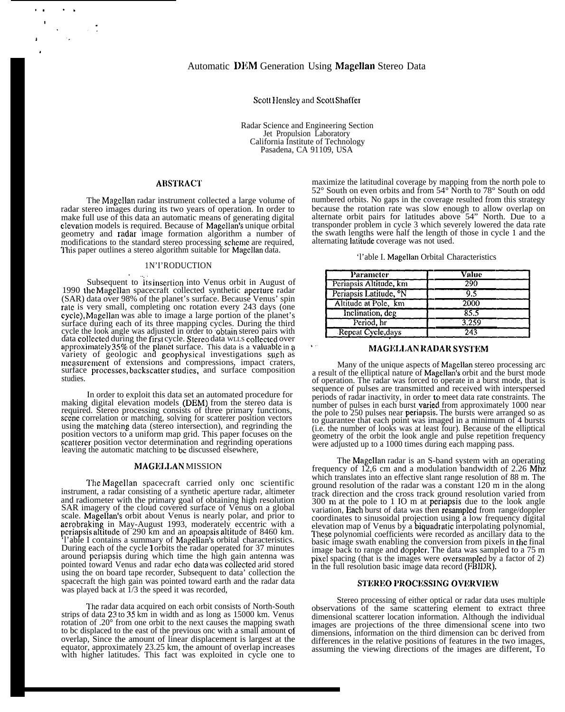# Scott Hensley and Scott Shaffer

Radar Science and Engineering Section Jet Propulsion Laboratory California Institute of Technology Pasadena, CA 91109, USA

#### **ABSTRACT**

The Magellan radar instrument collected a large volume of radar stereo images during its two years of operation. In order to make full use of this data an automatic means of generating digital clevation models is required. Because of Magcllan's unique orbital geometry and raclar image formation algorithm a number of modifications to the standard stereo processing scheme are required, This paper outlines a stereo algorithm suitable for Magellan data.<br>
1N'I'RODUCTION

#### 1N'I'RODUCTION

Subsequent to its insertion into Venus orbit in August of 1990 the Magellan spacecraft collected synthetic aperture radar (SAR) data over 98% of the planet's surface. Because Venus' spin rate is very small, completing onc rotation every 243 days (one cycle), Magellan was able to image a large portion of the planet's surface during each of its three mapping cycles. During the third cycle the look angle was adjusted in order to obtain stereo pairs with data collected during the first cycle. Stereo data WLLs collected over approximately 35% of the planct surface. This data is a valuable in a variety of geologic and geophysical investigations such as mcasurcmcnt of extensions and compressions, impact craters, surface processes, backscatter studies, and surface composition studies.

In order to exploit this data set an automated procedure for making digital elevation models (DEM) from the stereo data is required. Stereo processing consists of three primary functions, sccne correlation or matching, solving for scatterer position vectors using the matching data (stereo intersection), and regrinding the position vectors to a uniform map grid. This paper focuses on the scatterer position vector determination and regrinding operations leaving the automatic matching to bc discussed elsewhere,

#### MAGELLAN MISSION

The Magellan spacecraft carried only onc scientific instrument, a radar consisting of a synthetic aperture radar, altimeter and radiometer with the primary goal of obtaining high resolution SAR imagery of the cloud covered surface of Venus on a global scale. Magellan's orbit about Venus is nearly polar, and prior to aerobraking in May-August 1993, moderately eccentric with a pcriapsis altitude of 290 km and an apoapsis altitude of 8460 km. 'l'able I contains a summary of Magellan's orbital characteristics. During each of the cycle 1 orbits the radar operated for 37 minutes around pcriapsis during which time the high gain antenna was pointed toward Venus and radar echo data was collcctcd arid stored using the on board tape recorder, Subsequent to data' collection the spacecraft the high gain was pointed toward earth and the radar data was played back at  $\overline{1}/3$  the speed it was recorded,

I'hc radar data acquired on each orbit consists of North-South strips of data 23 to 35 km in width and as long as 15000 km. Venus rotation of .20° from one orbit to the next causes the mapping swath to bc displaced to the east of the previous onc with a small amount of overlap, Since the amount of linear displacement is largest at the equator, approximately 23.25 km, the amount of overlap increases with higher latitudes. This fact was exploited in cycle one to

maximize the latitudinal coverage by mapping from the north pole to 52° South on even orbits and from 54° North to 78° South on odd numbered orbits. No gaps in the coverage resulted from this strategy because the rotation rate was slow enough to allow overlap on alternate orbit pairs for latitudes above 54" North. Due to a transponder problem in cycle 3 which severely lowered the data rate the swath lengths were half the length of those in cycle 1 and the alternating Iatitudc coverage was not used.

| 'l'able I. Magellan Orbital Characteristics |  |  |  |  |
|---------------------------------------------|--|--|--|--|
|---------------------------------------------|--|--|--|--|

| <b>Parameter</b>                   | Value |  |  |
|------------------------------------|-------|--|--|
| Periapsis Altitude, km             | 290   |  |  |
| Periapsis Latitude, <sup>o</sup> N | 9.5   |  |  |
| Altitude at Pole, km               | 2000  |  |  |
| Inclination, deg                   | 85.5  |  |  |
| Period, hr                         | 3.259 |  |  |
| Repeat Cycle, days                 | 243   |  |  |

# MAGELLAN RADAR SYSTEM

Many of the unique aspects of Magcllan stereo processing arc a result of the elliptical nature of Magellan's orbit and the burst mode of operation. The radar was forced to operate in a burst mode, that is sequence of pulses are transmitted and received with interspersed periods of radar inactivity, in order to meet data rate constraints. The number of pulses in each burst **varied** from approximately 1000 near the pole to 250 pulses near periapsis. The bursts were arranged so as to guarantee that each point was imaged in a minimum of 4 bursts (i.e. the number of looks was at least four). Because of the elliptical geometry of the orbit the look angle and pulse repetition frequency were adjusted up to a 1000 times during each mapping pass.

The Magcllan radar is an S-band system with an operating frequency of 12,6 cm and a modulation bandwidth of 2.26 Mhz which translates into an effective slant range resolution of 88 m. The ground resolution of the radar was a constant 120 m in the along track direction and the cross track ground resolution varied from 300 m at the pole to 1 IO m at pcriapsis due to the look angle variation, Each burst of data was then resampled from range/doppler coordinates to sinusoidal projection using a low frequency digital elevation map of Venus by a biquadratic interpolating polynomial, These polynomial coefficients were recorded as ancillary data to the basic image swath enabling the conversion from pixels in (he final image back to range and doppler. The data was sampled to a 75 m pixel spacing (that is the images were oversarnpled by a factor of 2) in the full resolution basic image data record (FBIDR).

## **STEREO PROCESSING OVERVIEW**

Stereo processing of either optical or radar data uses multiple observations of the same scattering element to extract three dimensional scatterer location information. Although the individual images are projections of the three dimensional scene into two dimensions, information on the third dimension can bc derived from differences in the relative positions of features in the two images, assuming the viewing directions of the images are different, To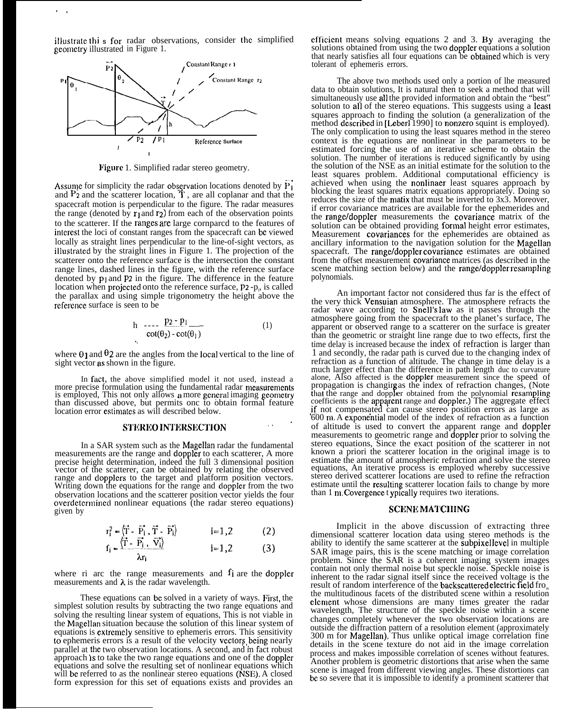iflustrate thi **s** for<br>geometry illustrated radar observations, in Figure 1. consider the simplified



Figure 1. Simplified radar stereo geometry.

Assume for simplicity the radar observation locations denoted by  $P_1$ and  $P_2$  and the scatterer location,  $\dot{T}$ , are all coplanar and that the spacecraft motion is perpendicular to the figure. The radar measures the range (denoted by  $\mathbf{r}_1$  and  $\mathbf{r}_2$ ) from each of the observation points to the scatterer. If the ranges are large cornparcd to the features of interest the loci of constant ranges from the spacecraft can be viewed locally as straight lines perpendicular to the line-of-sight vectors, as illustrated by the straight lines in Figure 1. The projection of the scatterer onto the reference surface is the intersection the constant range lines, dashed lines in the figure, with the reference surface denoted by  $p_1$  and  $p_2$  in the figure. The difference in the feature location when projected onto the reference surface, P2 -p<sub>1</sub>, is called the parallax and using simple trigonometry the height above the reference surface is seen to be

$$
h \quad \text{---} \quad \frac{p_2 \cdot p_1}{\cot(\theta_2) - \cot(\theta_1)} \tag{1}
$$

where  $\theta$  ] and  $\theta$ 2 are the angles from the local vertical to the line of sight vector as shown in the figure.

.,

In fact, the above simplified model it not used, instead a more precise formulation using the fundamental radar measurements is employed, This not only allows a more general imaging geometry than discussed above, but permits onc to obtain formal feature location error estimates as will described below.<br> **STEREO INTERSECTION** 

In a SAR system such as the Magellan radar the fundamental measurements are the range and doppler to each scatterer, A more precise height determination, indeed the full 3 dimensional position vector of the scatterer, can be obtained by relating the observed range and dopplers to the target and platform position vectors. Writing down the equations for the range and doppler from the two observation locations and the scatterer position vector yields the four ovcrdctermincd nonlinear equations (the radar stereo equations) given by

$$
r_i^2 = \langle \vec{\mathbf{T}} \cdot \vec{\mathbf{P}}_i, \vec{\mathbf{T}} \cdot \vec{\mathbf{P}}_i \rangle \qquad i = 1, 2 \qquad (2)
$$
  
\n
$$
f_i = \langle \vec{\mathbf{T}} \cdot \vec{\mathbf{P}}_i, \vec{\mathbf{V}}_i \rangle \qquad j = 1, 2 \qquad (3)
$$

$$
\frac{1}{\lambda r_i} = \frac{1 - \frac{1}{2} + \frac{1}{2} + \frac{1}{2}}{\lambda r_i}
$$
 1 = 1,2 (3)

where ri arc the range measurements and fi are the doppler measurements and  $\lambda$  is the radar wavelength.

These equations can be solved in a variety of ways. First, the simplest solution results by subtracting the two range equations and solving the resulting linear system of equations, This is not viable in the Magellan situation because the solution of this linear system of equations is extremely sensitive to ephemeris errors. This sensitivity to ephemeris errors is a result of the velocity vectors, being nearly parallel at the two observation locations. A second, and m fact robust approach is to take the two range equations and one of the doppler equations and solve the resulting set of nonlinear equations which will be referred to as the nonlinear stereo equations (NSE). A closed form expression for this set of equations exists and provides an cfficicnt means solving equations 2 and 3. By averaging the solutions obtained from using the two doppler equations a solution that nearly satisfies all four equations can be obtainecl which is very tolerant of ephemeris errors.

The above two methods used only a portion of lhe measured data to obtain solutions, It is natural then to seek a method that will simultaneously use all the provided information and obtain the "best" solution to all of the stereo equations. This suggests using a Icast squares approach to finding the solution (a generalization of the method described in [Leberl 1990] to nonzero squint is employed). The only complication to using the least squares method in the stereo context is the equations are nonlinear in the parameters to be estimated forcing the use of an iterative scheme to obtain the solution. The number of iterations is reduced significantly by using the solution of the NSE as an initial estimate for the solution to the least squares problem. Additional computational efficiency is achieved when using the nonlinaer least squares approach by blocking the least squares matrix equations appropriately. Doing so reduces the size of the matix that must be inverted to 3x3. Moreover, if error covariance matrices are available for the ephemerides and the range/doppler measurements the covariance matrix of the solution can be obtained providing formal height error estimates, Measurement covariances for the ephemerides are obtained as ancillary information to the navigation solution for the Magellan spacecraft. The range/doppler covariance estimates are obtained from the offset measurement covariance matrices (as described in the scene matching section below) and the range/doppler resampling polynomials.

An important factor not considered thus far is the effect of the very thick Vensuian atmosphere. The atmosphere refracts the radar wave according to Snell's law as it passes through the atmosphere going from the spacecraft to the planet's surface, The apparent or observed range to a scatterer on the surface is greater than the geometric or straight line range due to two effects, first the time delay is increased because the index of refraction is larger than 1 and secondly, the radar path is curved due to the changing index of refraction as a function of altitude. The change in time delay is a much larger effect than the difference in path length duc to curvature alone, Also affected is the doppler measurement since the speed of propagation is changing as the index of refraction changes, (Note that the range and doppler obtained from the polynomial resampling coefficients is the apparent range and doppler.) The aggregate effect if not compensated can cause stereo position errors as large as  $600$  m. A exponential model of the index of refraction as a function of altitude is used to convert the apparent range and doppler measurements to geometric range and doppler prior to solving the stereo equations, Since the exact position of the scatterer in not known a priori the scatterer location in the original image is to estimate the amount of atmospheric refraction and solve the stereo equations, An iterative process is employed whereby successive stereo derived scatterer locations are used to refine the refraction estimate until the resulting scatterer location fails to change by more than 1 m. Covergence t ypically requires two iterations.

## SCENE MATCHING

Implicit in the above discussion of extracting three dimensional scatterer location data using stereo methods is the ability to identify the same scatterer at the subpixel level in multiple SAR image pairs, this is the scene matching or image correlation problem. Since the SAR is a coherent imaging system images contain not only thermal noise but speckle noise. Speckle noise is inherent to the radar signal itself since the received voltage is the result of random interference of the backscattered electric field from the multitudinous facets of the distributed scene within a resolution element whose dimensions are many times greater the radar wavelength, The structure of the speckle noise within a scene changes completely whenever the two observation locations are outside the diffraction pattern of a resolution element (approximately 300 m for Magellan), Thus unlike optical image correlation fine details in the scene texture do not aid in the image correlation process and makes impossible correlation of scenes without features. Another problem is geometric distortions that arise when the same scene is imaged from different viewing angles. These distortions can bc so severe that it is impossible to identify a prominent scatterer that